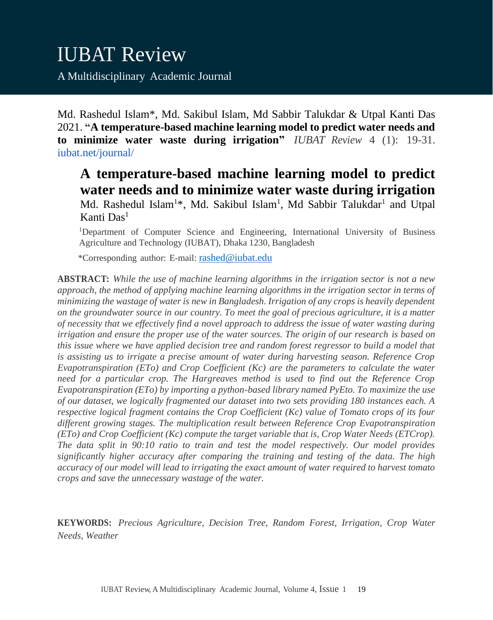Md. Rashedul Islam\*, Md. Sakibul Islam, Md Sabbir Talukdar & Utpal Kanti Das 2021. **"A temperature-based machine learning model to predict water needs and to minimize water waste during irrigation"** *IUBAT Review* 4 (1): 19-31. iubat.net/journal/

# **A temperature-based machine learning model to predict water needs and to minimize water waste during irrigation**

Md. Rashedul Islam<sup>1\*</sup>, Md. Sakibul Islam<sup>1</sup>, Md Sabbir Talukdar<sup>1</sup> and Utpal Kanti Das<sup>1</sup>

<sup>1</sup>Department of Computer Science and Engineering, International University of Business Agriculture and Technology (IUBAT), Dhaka 1230, Bangladesh

\*Corresponding author: E-mail: [rashed@iubat.edu](mailto:rashed@iubat.edu)

**ABSTRACT:** *While the use of machine learning algorithms in the irrigation sector is not a new approach, the method of applying machine learning algorithms in the irrigation sector in terms of minimizing the wastage of water is new in Bangladesh. Irrigation of any crops is heavily dependent on the groundwater source in our country. To meet the goal of precious agriculture, it is a matter of necessity that we effectively find a novel approach to address the issue of water wasting during irrigation and ensure the proper use of the water sources. The origin of our research is based on this issue where we have applied decision tree and random forest regressor to build a model that is assisting us to irrigate a precise amount of water during harvesting season. Reference Crop Evapotranspiration (ETo) and Crop Coefficient (Kc) are the parameters to calculate the water need for a particular crop. The Hargreaves method is used to find out the Reference Crop Evapotranspiration (ETo) by importing a python-based library named PyEto. To maximize the use of our dataset, we logically fragmented our dataset into two sets providing 180 instances each. A respective logical fragment contains the Crop Coefficient (Kc) value of Tomato crops of its four different growing stages. The multiplication result between Reference Crop Evapotranspiration (ETo) and Crop Coefficient (Kc) compute the target variable that is, Crop Water Needs (ETCrop). The data split in 90:10 ratio to train and test the model respectively. Our model provides significantly higher accuracy after comparing the training and testing of the data. The high accuracy of our model will lead to irrigating the exact amount of water required to harvest tomato crops and save the unnecessary wastage of the water.*

**KEYWORDS:** *Precious Agriculture, Decision Tree, Random Forest, Irrigation, Crop Water Needs, Weather*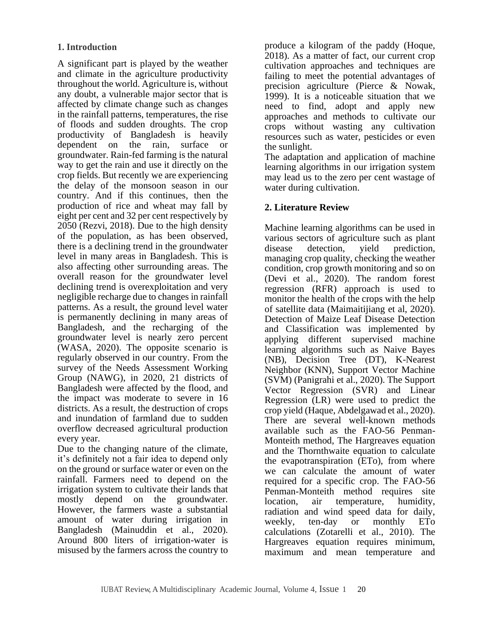# **1. Introduction**

A significant part is played by the weather and climate in the agriculture productivity throughout the world. Agriculture is, without any doubt, a vulnerable major sector that is affected by climate change such as changes in the rainfall patterns, temperatures, the rise of floods and sudden droughts. The crop productivity of Bangladesh is heavily dependent on the rain, surface or groundwater. Rain-fed farming is the natural way to get the rain and use it directly on the crop fields. But recently we are experiencing the delay of the monsoon season in our country. And if this continues, then the production of rice and wheat may fall by eight per cent and 32 per cent respectively by 2050 (Rezvi, 2018). Due to the high density of the population, as has been observed, there is a declining trend in the groundwater level in many areas in Bangladesh. This is also affecting other surrounding areas. The overall reason for the groundwater level declining trend is overexploitation and very negligible recharge due to changes in rainfall patterns. As a result, the ground level water is permanently declining in many areas of Bangladesh, and the recharging of the groundwater level is nearly zero percent (WASA, 2020). The opposite scenario is regularly observed in our country. From the survey of the Needs Assessment Working Group (NAWG), in 2020, 21 districts of Bangladesh were affected by the flood, and the impact was moderate to severe in 16 districts. As a result, the destruction of crops and inundation of farmland due to sudden overflow decreased agricultural production every year.

Due to the changing nature of the climate, it's definitely not a fair idea to depend only on the ground or surface water or even on the rainfall. Farmers need to depend on the irrigation system to cultivate their lands that mostly depend on the groundwater. However, the farmers waste a substantial amount of water during irrigation in Bangladesh (Mainuddin et al., 2020). Around 800 liters of irrigation-water is misused by the farmers across the country to produce a kilogram of the paddy (Hoque, 2018). As a matter of fact, our current crop cultivation approaches and techniques are failing to meet the potential advantages of precision agriculture (Pierce & Nowak, 1999). It is a noticeable situation that we need to find, adopt and apply new approaches and methods to cultivate our crops without wasting any cultivation resources such as water, pesticides or even the sunlight.

The adaptation and application of machine learning algorithms in our irrigation system may lead us to the zero per cent wastage of water during cultivation.

# **2. Literature Review**

Machine learning algorithms can be used in various sectors of agriculture such as plant disease detection, yield prediction, managing crop quality, checking the weather condition, crop growth monitoring and so on (Devi et al., 2020). The random forest regression (RFR) approach is used to monitor the health of the crops with the help of satellite data (Maimaitijiang et al, 2020). Detection of Maize Leaf Disease Detection and Classification was implemented by applying different supervised machine learning algorithms such as Naive Bayes (NB), Decision Tree (DT), K-Nearest Neighbor (KNN), Support Vector Machine (SVM) (Panigrahi et al., 2020). The Support Vector Regression (SVR) and Linear Regression (LR) were used to predict the crop yield (Haque, Abdelgawad et al., 2020). There are several well-known methods available such as the FAO-56 Penman-Monteith method, The Hargreaves equation and the Thornthwaite equation to calculate the evapotranspiration (ETo), from where we can calculate the amount of water required for a specific crop. The FAO-56 Penman-Monteith method requires site location, air temperature, humidity, radiation and wind speed data for daily, weekly, ten-day or monthly ETo calculations (Zotarelli et al., 2010). The Hargreaves equation requires minimum, maximum and mean temperature and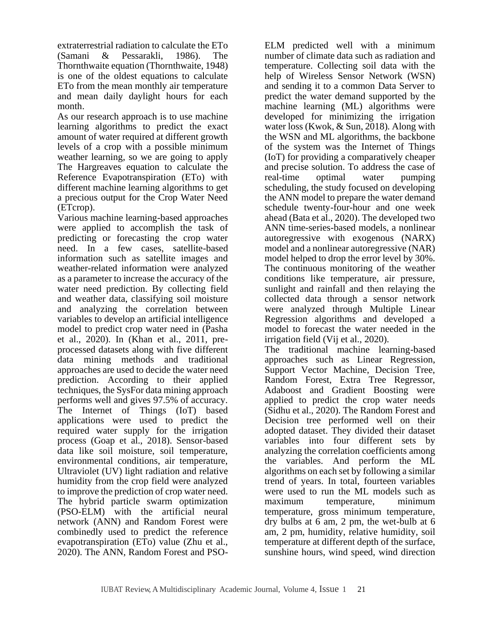extraterrestrial radiation to calculate the ETo (Samani & Pessarakli, 1986). The Thornthwaite equation (Thornthwaite, 1948) is one of the oldest equations to calculate ETo from the mean monthly air temperature and mean daily daylight hours for each month.

As our research approach is to use machine learning algorithms to predict the exact amount of water required at different growth levels of a crop with a possible minimum weather learning, so we are going to apply The Hargreaves equation to calculate the Reference Evapotranspiration (ETo) with different machine learning algorithms to get a precious output for the Crop Water Need (ETcrop).

Various machine learning-based approaches were applied to accomplish the task of predicting or forecasting the crop water need. In a few cases, satellite-based information such as satellite images and weather-related information were analyzed as a parameter to increase the accuracy of the water need prediction. By collecting field and weather data, classifying soil moisture and analyzing the correlation between variables to develop an artificial intelligence model to predict crop water need in (Pasha et al., 2020). In (Khan et al., 2011, preprocessed datasets along with five different data mining methods and traditional approaches are used to decide the water need prediction. According to their applied techniques, the SysFor data mining approach performs well and gives 97.5% of accuracy. The Internet of Things (IoT) based applications were used to predict the required water supply for the irrigation process (Goap et al., 2018). Sensor-based data like soil moisture, soil temperature, environmental conditions, air temperature, Ultraviolet (UV) light radiation and relative humidity from the crop field were analyzed to improve the prediction of crop water need. The hybrid particle swarm optimization (PSO-ELM) with the artificial neural network (ANN) and Random Forest were combinedly used to predict the reference evapotranspiration (ETo) value (Zhu et al., 2020). The ANN, Random Forest and PSO-

ELM predicted well with a minimum number of climate data such as radiation and temperature. Collecting soil data with the help of Wireless Sensor Network (WSN) and sending it to a common Data Server to predict the water demand supported by the machine learning (ML) algorithms were developed for minimizing the irrigation water loss (Kwok, & Sun, 2018). Along with the WSN and ML algorithms, the backbone of the system was the Internet of Things (IoT) for providing a comparatively cheaper and precise solution. To address the case of real-time optimal water pumping scheduling, the study focused on developing the ANN model to prepare the water demand schedule twenty-four-hour and one week ahead (Bata et al., 2020). The developed two ANN time-series-based models, a nonlinear autoregressive with exogenous (NARX) model and a nonlinear autoregressive (NAR) model helped to drop the error level by 30%. The continuous monitoring of the weather conditions like temperature, air pressure, sunlight and rainfall and then relaying the collected data through a sensor network were analyzed through Multiple Linear Regression algorithms and developed a model to forecast the water needed in the irrigation field (Vij et al., 2020). The traditional machine learning-based

approaches such as Linear Regression, Support Vector Machine, Decision Tree, Random Forest, Extra Tree Regressor, Adaboost and Gradient Boosting were applied to predict the crop water needs (Sidhu et al., 2020). The Random Forest and Decision tree performed well on their adopted dataset. They divided their dataset variables into four different sets by analyzing the correlation coefficients among the variables. And perform the ML algorithms on each set by following a similar trend of years. In total, fourteen variables were used to run the ML models such as maximum temperature, minimum temperature, gross minimum temperature, dry bulbs at 6 am, 2 pm, the wet-bulb at 6 am, 2 pm, humidity, relative humidity, soil temperature at different depth of the surface, sunshine hours, wind speed, wind direction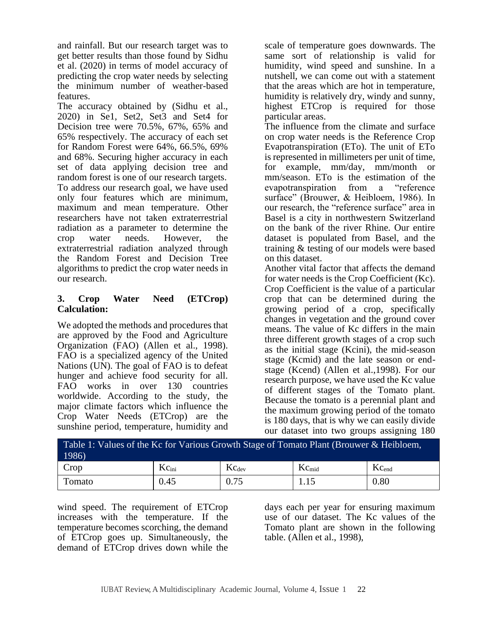and rainfall. But our research target was to get better results than those found by Sidhu et al. (2020) in terms of model accuracy of predicting the crop water needs by selecting the minimum number of weather-based features.

The accuracy obtained by (Sidhu et al., 2020) in Se1, Set2, Set3 and Set4 for Decision tree were 70.5%, 67%, 65% and 65% respectively. The accuracy of each set for Random Forest were 64%, 66.5%, 69% and 68%. Securing higher accuracy in each set of data applying decision tree and random forest is one of our research targets. To address our research goal, we have used only four features which are minimum, maximum and mean temperature. Other researchers have not taken extraterrestrial radiation as a parameter to determine the crop water needs. However, the extraterrestrial radiation analyzed through the Random Forest and Decision Tree algorithms to predict the crop water needs in our research.

# **3. Crop Water Need (ETCrop) Calculation:**

We adopted the methods and procedures that are approved by the Food and Agriculture Organization (FAO) (Allen et al., 1998). FAO is a specialized agency of the United Nations (UN). The goal of FAO is to defeat hunger and achieve food security for all. FAO works in over 130 countries worldwide. According to the study, the major climate factors which influence the Crop Water Needs (ETCrop) are the sunshine period, temperature, humidity and

scale of temperature goes downwards. The same sort of relationship is valid for humidity, wind speed and sunshine. In a nutshell, we can come out with a statement that the areas which are hot in temperature, humidity is relatively dry, windy and sunny, highest ETCrop is required for those particular areas.

The influence from the climate and surface on crop water needs is the Reference Crop Evapotranspiration (ETo). The unit of ETo is represented in millimeters per unit of time, for example, mm/day, mm/month or mm/season. ETo is the estimation of the evapotranspiration from a "reference surface" (Brouwer, & Heibloem, 1986). In our research, the "reference surface" area in Basel is a city in northwestern Switzerland on the bank of the river Rhine. Our entire dataset is populated from Basel, and the training & testing of our models were based on this dataset.

Another vital factor that affects the demand for water needs is the Crop Coefficient (Kc). Crop Coefficient is the value of a particular crop that can be determined during the growing period of a crop, specifically changes in vegetation and the ground cover means. The value of Kc differs in the main three different growth stages of a crop such as the initial stage (Kcini), the mid-season stage (Kcmid) and the late season or endstage (Kcend) (Allen et al.,1998). For our research purpose, we have used the Kc value of different stages of the Tomato plant. Because the tomato is a perennial plant and the maximum growing period of the tomato is 180 days, that is why we can easily divide our dataset into two groups assigning 180

| Table 1: Values of the Kc for Various Growth Stage of Tomato Plant (Brouwer & Heibloem,<br>1986 |                   |                   |            |            |  |  |
|-------------------------------------------------------------------------------------------------|-------------------|-------------------|------------|------------|--|--|
| Crop                                                                                            | $Kc_{\text{ini}}$ | $Kc_{\text{dev}}$ | $Kc_{mid}$ | $Kc_{end}$ |  |  |
| Tomato                                                                                          | 0.45              | 0.75              | 1.15       | 0.80       |  |  |

wind speed. The requirement of ETCrop increases with the temperature. If the temperature becomes scorching, the demand of ETCrop goes up. Simultaneously, the demand of ETCrop drives down while the days each per year for ensuring maximum use of our dataset. The Kc values of the Tomato plant are shown in the following table. (Allen et al., 1998),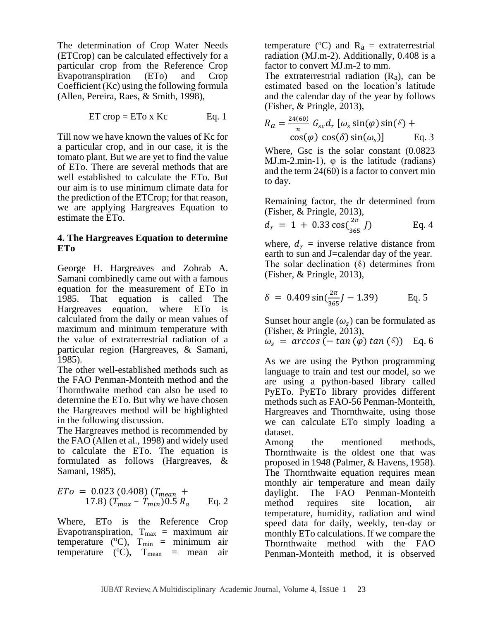The determination of Crop Water Needs (ETCrop) can be calculated effectively for a particular crop from the Reference Crop Evapotranspiration (ETo) and Crop  $Coefficient$  (Kc) using the following formula (Allen, Pereira, Raes, & Smith, 1998),

$$
ET crop = ETo x Kc \qquad Eq. 1
$$

Till now we have known the values of Kc for a particular crop, and in our case, it is the tomato plant. But we are yet to find the value of ETo. There are several methods that are well established to calculate the ETo. But our aim is to use minimum climate data for the prediction of the ETCrop; for that reason, we are applying Hargreaves Equation to estimate the ETo.

#### **4. The Hargreaves Equation to determine ETo**

George H. Hargreaves and Zohrab A. Samani combinedly came out with a famous equation for the measurement of ETo in 1985. That equation is called The Hargreaves equation, where ETo is calculated from the daily or mean values of maximum and minimum temperature with the value of extraterrestrial radiation of a particular region (Hargreaves, & Samani, 1985).

The other well-established methods such as the FAO Penman-Monteith method and the Thornthwaite method can also be used to determine the ETo. But why we have chosen the Hargreaves method will be highlighted in the following discussion.

The Hargreaves method is recommended by the FAO (Allen et al., 1998) and widely used to calculate the ETo. The equation is formulated as follows (Hargreaves, & Samani, 1985),

$$
ETo = 0.023 (0.408) (T_{mean} + 17.8) (T_{max} - T_{min}) 0.5 R_a
$$
 Eq. 2

Where, ETo is the Reference Crop Evapotranspiration,  $T_{\text{max}}$  = maximum air temperature ( $^{\circ}$ C),  $T_{\text{min}}$  = minimum air temperature ( $^{\circ}$ C),  $T_{\text{mean}}$  = mean air temperature ( $\rm{^{\circ}C}$ ) and  $\rm{R}_{a}$  = extraterrestrial radiation (MJ.m-2). Additionally, 0.408 is a factor to convert MJ.m-2 to mm.

The extraterrestrial radiation  $(R_a)$ , can be estimated based on the location's latitude and the calendar day of the year by follows (Fisher, & Pringle, 2013),

$$
R_a = \frac{24(60)}{\pi} G_{sc} d_r \left[ \omega_s \sin(\varphi) \sin(\delta) + \cos(\varphi) \cos(\delta) \sin(\omega_s) \right]
$$
 Eq. 3

Where, Gsc is the solar constant (0.0823 MJ.m-2.min-1),  $\varphi$  is the latitude (radians) and the term 24(60) is a factor to convert min to day.

Remaining factor, the dr determined from (Fisher, & Pringle, 2013),

$$
d_r = 1 + 0.33 \cos(\frac{2\pi}{365} J) \qquad \text{Eq. 4}
$$

where,  $d_r$  = inverse relative distance from earth to sun and J=calendar day of the year. The solar declination  $(8)$  determines from (Fisher, & Pringle, 2013),

$$
\delta = 0.409 \sin(\frac{2\pi}{365}J - 1.39) \quad \text{Eq. 5}
$$

Sunset hour angle  $(\omega_s)$  can be formulated as (Fisher, & Pringle, 2013),

$$
\omega_s = \arccos\left(-\tan\left(\varphi\right)\tan\left(\delta\right)\right) \quad \text{Eq. 6}
$$

As we are using the Python programming language to train and test our model, so we are using a python-based library called PyETo. PyETo library provides different methods such as FAO-56 Penman-Monteith, Hargreaves and Thornthwaite, using those we can calculate ETo simply loading a dataset.

Among the mentioned methods, Thornthwaite is the oldest one that was proposed in 1948 (Palmer, & Havens, 1958). The Thornthwaite equation requires mean monthly air temperature and mean daily daylight. The FAO Penman-Monteith<br>method requires site location, air requires site location, air temperature, humidity, radiation and wind speed data for daily, weekly, ten-day or monthly ETo calculations. If we compare the Thornthwaite method with the FAO Penman-Monteith method, it is observed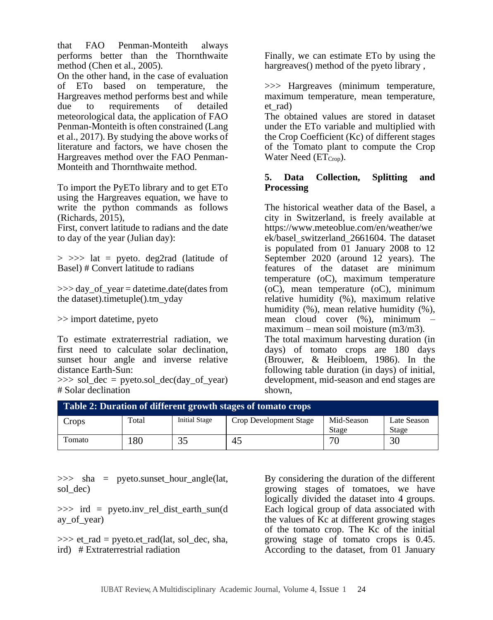that FAO Penman-Monteith always performs better than the Thornthwaite method (Chen et al., 2005).

On the other hand, in the case of evaluation of ETo based on temperature, the Hargreaves method performs best and while due to requirements of detailed meteorological data, the application of FAO Penman-Monteith is often constrained (Lang et al., 2017). By studying the above works of literature and factors, we have chosen the Hargreaves method over the FAO Penman-Monteith and Thornthwaite method.

To import the PyETo library and to get ETo using the Hargreaves equation, we have to write the python commands as follows (Richards, 2015),

First, convert latitude to radians and the date to day of the year (Julian day):

 $> >>$  lat = pyeto. deg2rad (latitude of Basel) # Convert latitude to radians

 $\gg$  day of year = datetime.date(dates from the dataset).timetuple().tm\_yday

>> import datetime, pyeto

To estimate extraterrestrial radiation, we first need to calculate solar declination. sunset hour angle and inverse relative distance Earth-Sun:

 $\gg$  sol\_dec = pyeto.sol\_dec(day\_of\_year) # Solar declination

Finally, we can estimate ETo by using the hargreaves() method of the pyeto library,

>>> Hargreaves (minimum temperature, maximum temperature, mean temperature, et\_rad)

The obtained values are stored in dataset under the ETo variable and multiplied with the Crop Coefficient (Kc) of different stages of the Tomato plant to compute the Crop Water Need  $(ET<sub>Cron</sub>)$ .

## **5. Data Collection, Splitting and Processing**

The historical weather data of the Basel, a city in Switzerland, is freely available at https://www.meteoblue.com/en/weather/we ek/basel\_switzerland\_2661604. The dataset is populated from 01 January 2008 to 12 September 2020 (around 12 years). The features of the dataset are minimum temperature (oC), maximum temperature (oC), mean temperature (oC), minimum relative humidity (%), maximum relative humidity  $(\%)$ , mean relative humidity  $(\%)$ , mean cloud cover (%), minimum – maximum – mean soil moisture (m3/m3). The total maximum harvesting duration (in days) of tomato crops are 180 days (Brouwer, & Heibloem, 1986). In the following table duration (in days) of initial, development, mid-season and end stages are

| Table 2: Duration of different growth stages of tomato crops |       |                      |                        |            |             |  |  |
|--------------------------------------------------------------|-------|----------------------|------------------------|------------|-------------|--|--|
| Crops                                                        | Total | <b>Initial Stage</b> | Crop Development Stage | Mid-Season | Late Season |  |  |
|                                                              |       |                      |                        | Stage      | Stage       |  |  |
| Tomato                                                       | 180   | 35                   | 45                     | 70         | 30          |  |  |

shown,

>>> sha = pyeto.sunset hour\_angle(lat, sol\_dec)

>>> ird = pyeto.inv\_rel\_dist\_earth\_sun(d ay\_of\_year)

 $\gg$  et rad = pyeto.et rad(lat, sol\_dec, sha, ird) # Extraterrestrial radiation

By considering the duration of the different growing stages of tomatoes, we have logically divided the dataset into 4 groups. Each logical group of data associated with the values of Kc at different growing stages of the tomato crop. The Kc of the initial growing stage of tomato crops is 0.45. According to the dataset, from 01 January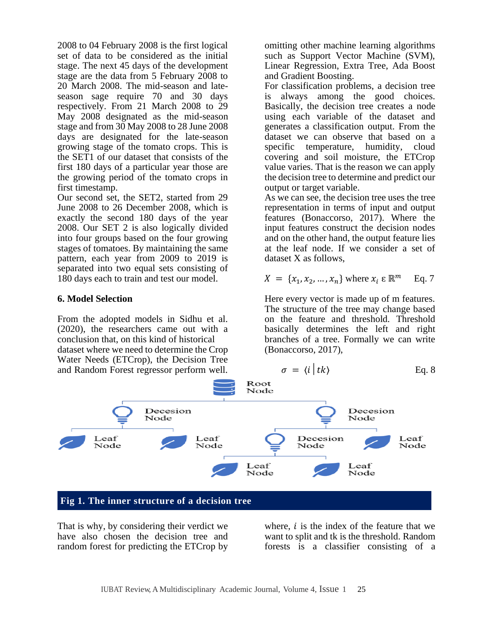2008 to 04 February 2008 is the first logical set of data to be considered as the initial stage. The next 45 days of the development stage are the data from 5 February 2008 to 20 March 2008. The mid-season and lateseason sage require 70 and 30 days respectively. From 21 March 2008 to 29 May 2008 designated as the mid-season stage and from 30 May 2008 to 28 June 2008 days are designated for the late-season growing stage of the tomato crops. This is the SET1 of our dataset that consists of the first 180 days of a particular year those are the growing period of the tomato crops in first timestamp.

Our second set, the SET2, started from 29 June 2008 to 26 December 2008, which is exactly the second 180 days of the year 2008. Our SET 2 is also logically divided into four groups based on the four growing stages of tomatoes. By maintaining the same pattern, each year from 2009 to 2019 is separated into two equal sets consisting of 180 days each to train and test our model.

## **6. Model Selection**

From the adopted models in Sidhu et al. (2020), the researchers came out with a conclusion that, on this kind of historical dataset where we need to determine the Crop Water Needs (ETCrop), the Decision Tree and Random Forest regressor perform well.

omitting other machine learning algorithms such as Support Vector Machine (SVM), Linear Regression, Extra Tree, Ada Boost and Gradient Boosting.

For classification problems, a decision tree is always among the good choices. Basically, the decision tree creates a node using each variable of the dataset and generates a classification output. From the dataset we can observe that based on a specific temperature, humidity, cloud covering and soil moisture, the ETCrop value varies. That is the reason we can apply the decision tree to determine and predict our output or target variable.

As we can see, the decision tree uses the tree representation in terms of input and output features (Bonaccorso, 2017). Where the input features construct the decision nodes and on the other hand, the output feature lies at the leaf node. If we consider a set of dataset X as follows,

$$
X = \{x_1, x_2, \dots, x_n\} \text{ where } x_i \in \mathbb{R}^m \quad \text{Eq. 7}
$$

Here every vector is made up of m features. The structure of the tree may change based on the feature and threshold. Threshold basically determines the left and right branches of a tree. Formally we can write (Bonaccorso, 2017),

$$
\sigma = \langle i | tk \rangle \qquad \text{Eq. 8}
$$



That is why, by considering their verdict we have also chosen the decision tree and random forest for predicting the ETCrop by

where,  $i$  is the index of the feature that we want to split and tk is the threshold. Random forests is a classifier consisting of a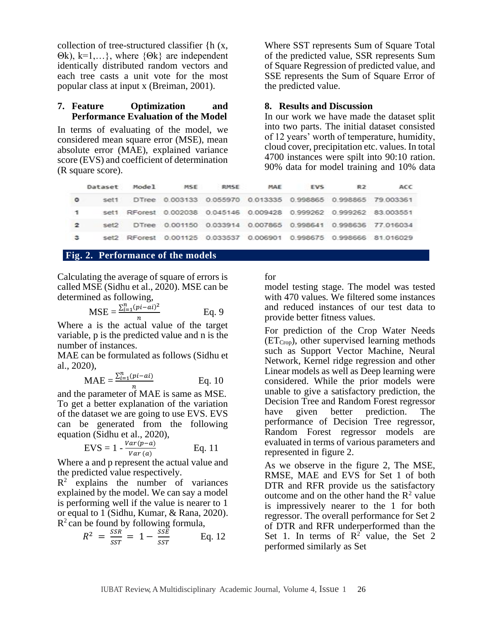collection of tree-structured classifier {h (x, Θk), k=1,…}, where {Θk} are independent identically distributed random vectors and each tree casts a unit vote for the most popular class at input x (Breiman, 2001).

#### **7. Feature Optimization and Performance Evaluation of the Model**

In terms of evaluating of the model, we considered mean square error (MSE), mean absolute error (MAE), explained variance score (EVS) and coefficient of determination (R square score).

Where SST represents Sum of Square Total of the predicted value, SSR represents Sum of Square Regression of predicted value, and SSE represents the Sum of Square Error of the predicted value.

#### **8. Results and Discussion**

In our work we have made the dataset split into two parts. The initial dataset consisted of 12 years' worth of temperature, humidity, cloud cover, precipitation etc. values. In total 4700 instances were spilt into 90:10 ration. 90% data for model training and 10% data

|                |      | Dataset Model | <b>MSE</b> | <b>RMSE</b> | MAE | <b>EVS</b> | R <sub>2</sub> | ACC                                                                 |
|----------------|------|---------------|------------|-------------|-----|------------|----------------|---------------------------------------------------------------------|
| $\circ$        |      |               |            |             |     |            |                | set1 DTree 0.003133 0.055970 0.013335 0.998865 0.998865 79.003361   |
| -1             |      |               |            |             |     |            |                | set1 RForest 0.002038 0.045146 0.009428 0.999262 0.999262 83.003551 |
| $\overline{2}$ | set2 |               |            |             |     |            |                | DTree 0.001150 0.033914 0.007865 0.998641 0.998636 77.016034        |
| з              |      |               |            |             |     |            |                | set2 RForest 0.001125 0.033537 0.006901 0.998675 0.998666 81.016029 |

## **Fig. 2. Performance of the models**

Calculating the average of square of errors is called MSE (Sidhu et al., 2020). MSE can be determined as following,

MSE = 
$$
\frac{\sum_{i=1}^{n} (pi - ai)^2}{n}
$$
 Eq. 9

Where a is the actual value of the target variable, p is the predicted value and n is the number of instances.

MAE can be formulated as follows (Sidhu et al., 2020),

$$
MAE = \frac{\sum_{i=1}^{n} (pi - ai)}{n}
$$
 Eq. 10

and the parameter of MAE is same as MSE. To get a better explanation of the variation of the dataset we are going to use EVS. EVS can be generated from the following equation (Sidhu et al., 2020),

$$
EVS = 1 - \frac{Var(p-a)}{Var(a)}
$$
 Eq. 11

Where a and p represent the actual value and the predicted value respectively.

 $R^2$  explains the number of variances explained by the model. We can say a model is performing well if the value is nearer to 1 or equal to 1 (Sidhu, Kumar, & Rana, 2020).  $R^2$  can be found by following formula,

$$
R^2 = \frac{SSR}{SST} = 1 - \frac{SSE}{SST}
$$
 Eq. 12

for

model testing stage. The model was tested with 470 values. We filtered some instances and reduced instances of our test data to provide better fitness values.

For prediction of the Crop Water Needs  $(ET<sub>Crop</sub>)$ , other supervised learning methods such as Support Vector Machine, Neural Network, Kernel ridge regression and other Linear models as well as Deep learning were considered. While the prior models were unable to give a satisfactory prediction, the Decision Tree and Random Forest regressor have given better prediction. The performance of Decision Tree regressor, Random Forest regressor models are evaluated in terms of various parameters and represented in figure 2.

As we observe in the figure 2, The MSE, RMSE, MAE and EVS for Set 1 of both DTR and RFR provide us the satisfactory outcome and on the other hand the  $R^2$  value is impressively nearer to the 1 for both regressor. The overall performance for Set 2 of DTR and RFR underperformed than the Set 1. In terms of  $R^2$  value, the Set 2 performed similarly as Set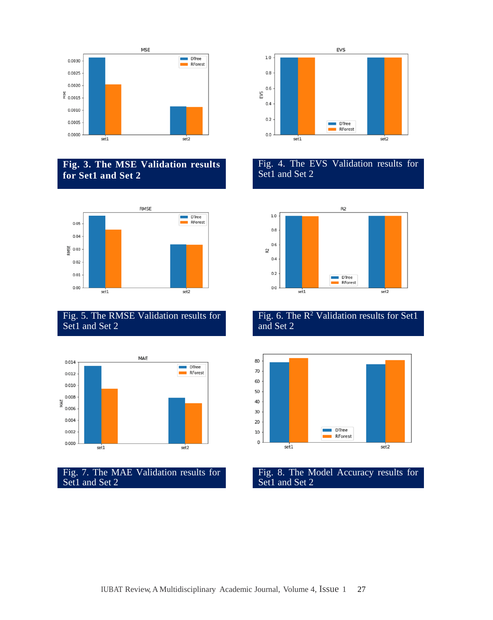

# **Fig. 3. The MSE Validation results for Set1 and Set 2**



# Fig. 5. The RMSE Validation results for Set1 and Set 2



Fig. 7. The MAE Validation results for Set1 and Set 2



## Fig. 4. The EVS Validation results for Set1 and Set 2



# Fig. 6. The  $R^2$  Validation results for Set1 and Set 2



#### Fig. 8. The Model Accuracy results for Set1 and Set 2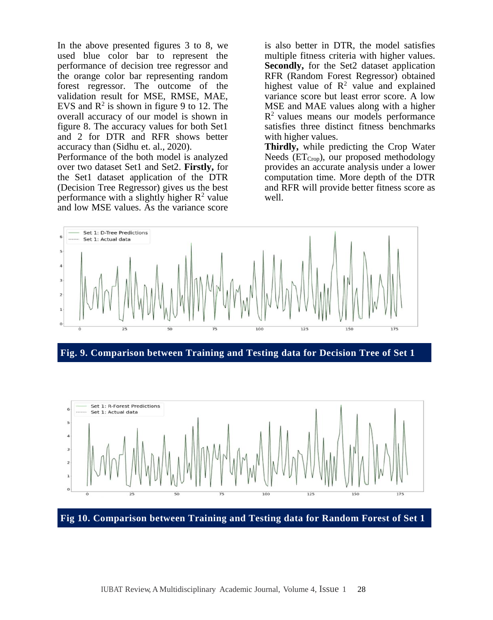In the above presented figures 3 to 8, we used blue color bar to represent the performance of decision tree regressor and the orange color bar representing random forest regressor. The outcome of the validation result for MSE, RMSE, MAE, EVS and  $\mathbb{R}^2$  is shown in figure 9 to 12. The overall accuracy of our model is shown in figure 8. The accuracy values for both Set1 and 2 for DTR and RFR shows better accuracy than (Sidhu et. al., 2020).

Performance of the both model is analyzed over two dataset Set1 and Set2. **Firstly,** for the Set1 dataset application of the DTR (Decision Tree Regressor) gives us the best performance with a slightly higher  $R^2$  value and low MSE values. As the variance score

is also better in DTR, the model satisfies multiple fitness criteria with higher values. **Secondly,** for the Set2 dataset application RFR (Random Forest Regressor) obtained highest value of  $\mathbb{R}^2$  value and explained variance score but least error score. A low MSE and MAE values along with a higher  $R<sup>2</sup>$  values means our models performance satisfies three distinct fitness benchmarks with higher values.

**Thirdly,** while predicting the Crop Water Needs  $(ET<sub>Crop</sub>)$ , our proposed methodology provides an accurate analysis under a lower computation time. More depth of the DTR and RFR will provide better fitness score as well.



**Fig. 9. Comparison between Training and Testing data for Decision Tree of Set 1**

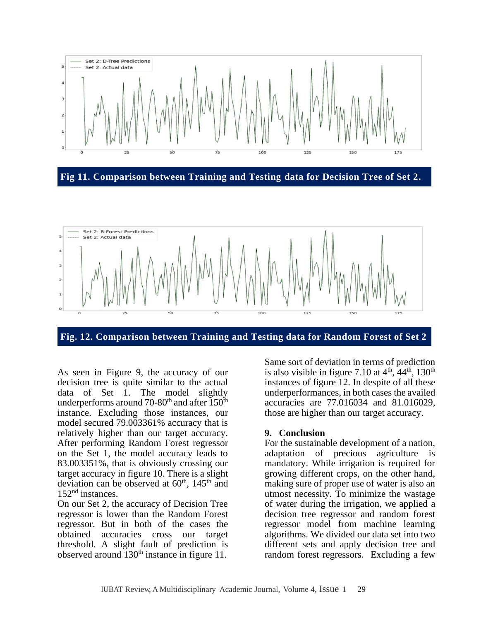

**Fig 11. Comparison between Training and Testing data for Decision Tree of Set 2.**



**Fig. 12. Comparison between Training and Testing data for Random Forest of Set 2**

As seen in Figure 9, the accuracy of our decision tree is quite similar to the actual data of Set  $\overline{1}$ . The model slightly underperforms around 70-80<sup>th</sup> and after  $150<sup>th</sup>$ instance. Excluding those instances, our model secured 79.003361% accuracy that is relatively higher than our target accuracy. After performing Random Forest regressor on the Set 1, the model accuracy leads to 83.003351%, that is obviously crossing our target accuracy in figure 10. There is a slight deviation can be observed at  $60<sup>th</sup>$ ,  $145<sup>th</sup>$  and 152nd instances.

On our Set 2, the accuracy of Decision Tree regressor is lower than the Random Forest regressor. But in both of the cases the obtained accuracies cross our target threshold. A slight fault of prediction is observed around 130<sup>th</sup> instance in figure 11.

Same sort of deviation in terms of prediction is also visible in figure 7.10 at  $4<sup>th</sup>$ ,  $44<sup>th</sup>$ , 130<sup>th</sup> instances of figure 12. In despite of all these underperformances, in both cases the availed accuracies are 77.016034 and 81.016029, those are higher than our target accuracy.

#### **9. Conclusion**

For the sustainable development of a nation, adaptation of precious agriculture is mandatory. While irrigation is required for growing different crops, on the other hand, making sure of proper use of water is also an utmost necessity. To minimize the wastage of water during the irrigation, we applied a decision tree regressor and random forest regressor model from machine learning algorithms. We divided our data set into two different sets and apply decision tree and random forest regressors. Excluding a few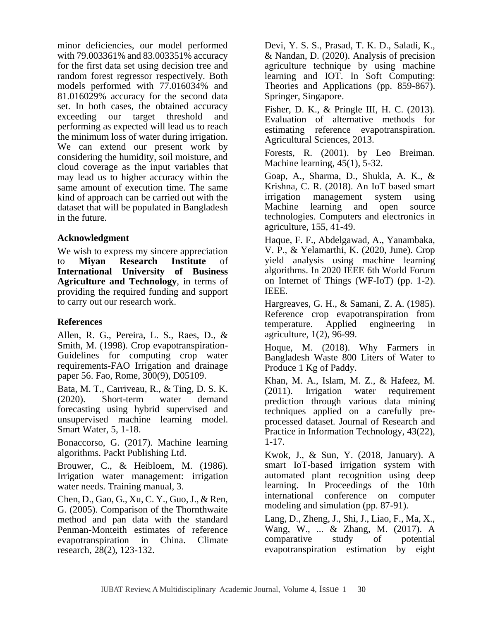minor deficiencies, our model performed with 79.003361% and 83.003351% accuracy for the first data set using decision tree and random forest regressor respectively. Both models performed with 77.016034% and 81.016029% accuracy for the second data set. In both cases, the obtained accuracy exceeding our target threshold and performing as expected will lead us to reach the minimum loss of water during irrigation. We can extend our present work by considering the humidity, soil moisture, and cloud coverage as the input variables that may lead us to higher accuracy within the same amount of execution time. The same kind of approach can be carried out with the dataset that will be populated in Bangladesh in the future.

## **Acknowledgment**

We wish to express my sincere appreciation to **Miyan Research Institute** of **International University of Business Agriculture and Technology**, in terms of providing the required funding and support to carry out our research work.

# **References**

Allen, R. G., Pereira, L. S., Raes, D., & Smith, M. (1998). Crop evapotranspiration-Guidelines for computing crop water requirements-FAO Irrigation and drainage paper 56. Fao, Rome, 300(9), D05109.

Bata, M. T., Carriveau, R., & Ting, D. S. K. (2020). Short-term water demand forecasting using hybrid supervised and unsupervised machine learning model. Smart Water, 5, 1-18.

Bonaccorso, G. (2017). Machine learning algorithms. Packt Publishing Ltd.

Brouwer, C., & Heibloem, M. (1986). Irrigation water management: irrigation water needs. Training manual, 3.

Chen, D., Gao, G., Xu, C. Y., Guo, J., & Ren, G. (2005). Comparison of the Thornthwaite method and pan data with the standard Penman-Monteith estimates of reference evapotranspiration in China. Climate research, 28(2), 123-132.

Devi, Y. S. S., Prasad, T. K. D., Saladi, K., & Nandan, D. (2020). Analysis of precision agriculture technique by using machine learning and IOT. In Soft Computing: Theories and Applications (pp. 859-867). Springer, Singapore.

Fisher, D. K., & Pringle III, H. C. (2013). Evaluation of alternative methods for estimating reference evapotranspiration. Agricultural Sciences, 2013.

Forests, R. (2001). by Leo Breiman. Machine learning, 45(1), 5-32.

Goap, A., Sharma, D., Shukla, A. K., & Krishna, C. R. (2018). An IoT based smart irrigation management system using Machine learning and open source technologies. Computers and electronics in agriculture, 155, 41-49.

Haque, F. F., Abdelgawad, A., Yanambaka, V. P., & Yelamarthi, K. (2020, June). Crop yield analysis using machine learning algorithms. In 2020 IEEE 6th World Forum on Internet of Things (WF-IoT) (pp. 1-2). IEEE.

Hargreaves, G. H., & Samani, Z. A. (1985). Reference crop evapotranspiration from temperature. Applied engineering agriculture, 1(2), 96-99.

Hoque, M. (2018). Why Farmers in Bangladesh Waste 800 Liters of Water to Produce 1 Kg of Paddy.

Khan, M. A., Islam, M. Z., & Hafeez, M. (2011). Irrigation water requirement prediction through various data mining techniques applied on a carefully preprocessed dataset. Journal of Research and Practice in Information Technology, 43(22), 1-17.

Kwok, J., & Sun, Y. (2018, January). A smart IoT-based irrigation system with automated plant recognition using deep learning. In Proceedings of the 10th international conference on computer modeling and simulation (pp. 87-91).

Lang, D., Zheng, J., Shi, J., Liao, F., Ma, X., Wang, W., ... & Zhang, M. (2017). A comparative study of potential evapotranspiration estimation by eight